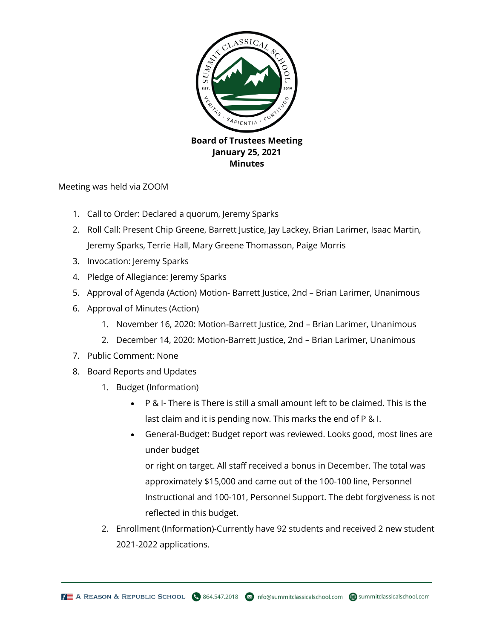

Meeting was held via ZOOM

- 1. Call to Order: Declared a quorum, Jeremy Sparks
- 2. Roll Call: Present Chip Greene, Barrett Justice, Jay Lackey, Brian Larimer, Isaac Martin, Jeremy Sparks, Terrie Hall, Mary Greene Thomasson, Paige Morris
- 3. Invocation: Jeremy Sparks
- 4. Pledge of Allegiance: Jeremy Sparks
- 5. Approval of Agenda (Action) Motion- Barrett Justice, 2nd Brian Larimer, Unanimous
- 6. Approval of Minutes (Action)
	- 1. November 16, 2020: Motion-Barrett Justice, 2nd Brian Larimer, Unanimous
	- 2. December 14, 2020: Motion-Barrett Justice, 2nd Brian Larimer, Unanimous
- 7. Public Comment: None
- 8. Board Reports and Updates
	- 1. Budget (Information)
		- P & I- There is There is still a small amount left to be claimed. This is the last claim and it is pending now. This marks the end of P & I.
		- General-Budget: Budget report was reviewed. Looks good, most lines are under budget

or right on target. All staff received a bonus in December. The total was approximately \$15,000 and came out of the 100-100 line, Personnel Instructional and 100-101, Personnel Support. The debt forgiveness is not reflected in this budget.

2. Enrollment (Information)-Currently have 92 students and received 2 new student 2021-2022 applications.